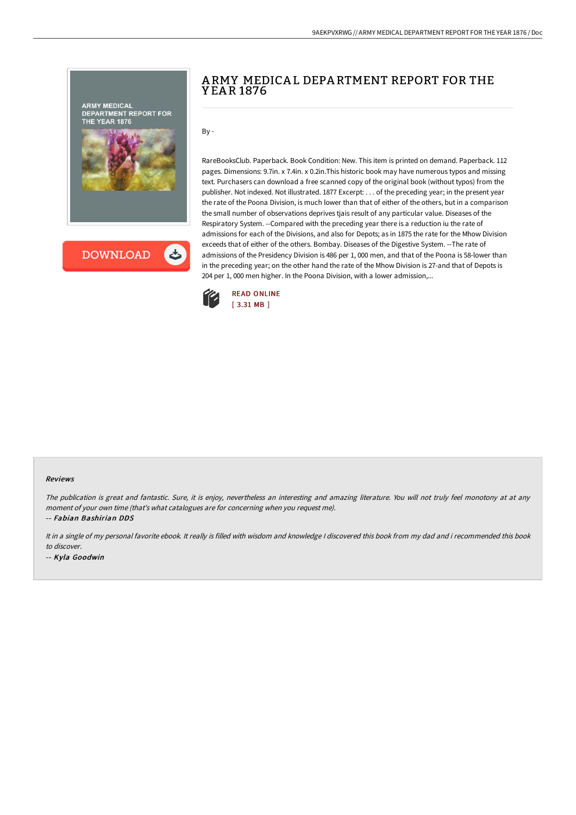

# A RMY MEDICA L DEPA RTMENT REPORT FOR THE Y EA R 1876

By -

RareBooksClub. Paperback. Book Condition: New. This item is printed on demand. Paperback. 112 pages. Dimensions: 9.7in. x 7.4in. x 0.2in.This historic book may have numerous typos and missing text. Purchasers can download a free scanned copy of the original book (without typos) from the publisher. Not indexed. Not illustrated. 1877 Excerpt: . . . of the preceding year; in the present year the rate of the Poona Division, is much lower than that of either of the others, but in a comparison the small number of observations deprives tjais result of any particular value. Diseases of the Respiratory System. --Compared with the preceding year there is a reduction iu the rate of admissions for each of the Divisions, and also for Depots; as in 1875 the rate for the Mhow Division exceeds that of either of the others. Bombay. Diseases of the Digestive System. --The rate of admissions of the Presidency Division is 486 per 1, 000 men, and that of the Poona is 58-lower than in the preceding year; on the other hand the rate of the Mhow Division is 27-and that of Depots is 204 per 1, 000 men higher. In the Poona Division, with a lower admission,...



#### Reviews

The publication is great and fantastic. Sure, it is enjoy, nevertheless an interesting and amazing literature. You will not truly feel monotony at at any moment of your own time (that's what catalogues are for concerning when you request me).

-- Fabian Bashirian DDS

It in a single of my personal favorite ebook. It really is filled with wisdom and knowledge I discovered this book from my dad and i recommended this book to discover.

-- Kyla Goodwin